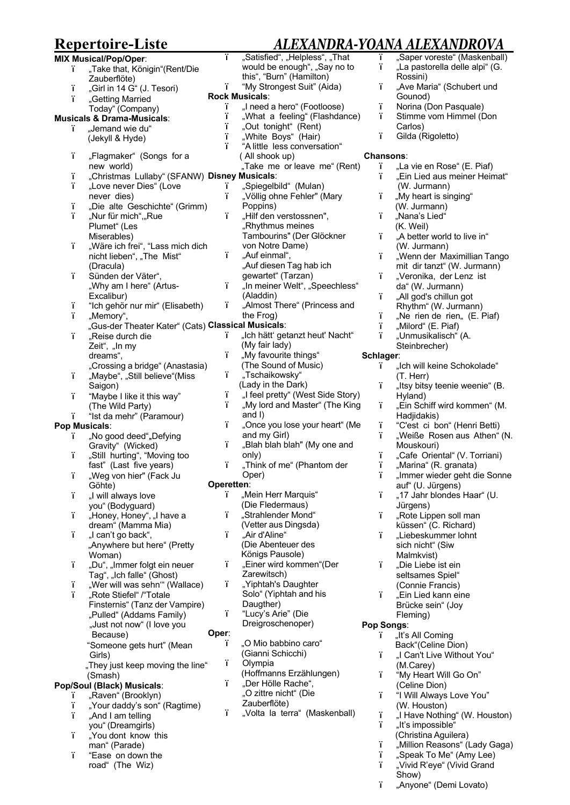# **Repertoire-Liste** *ALEXANDRA-YOANA ALEXANDROVA* **ALEXANDRA-YO**<br>ad", "Helpless", "That

| <b>MIX Musical/Pop/Oper:</b> |                                                    | ï          | "Satisfied", "Helpless", "That    | ï                | "Sa               |
|------------------------------|----------------------------------------------------|------------|-----------------------------------|------------------|-------------------|
| ï.                           | "Take that, Königin"(Rent/Die                      |            | would be enough", "Say no to      | ï                | "La               |
|                              | Zauberflöte)                                       |            | this", "Burn" (Hamilton)          |                  | Ro                |
| ï                            | "Girl in 14 G" (J. Tesori)                         | ï.         | "My Strongest Suit" (Aida)        | ï                | ,Α۱               |
|                              |                                                    |            | <b>Rock Musicals:</b>             |                  | Go                |
| ï.                           | "Getting Married                                   | ï          | "I need a hero" (Footloose)       | ï                | No                |
|                              | Today" (Company)                                   | ï          | "What a feeling" (Flashdance)     | ï                | Sti               |
|                              | <b>Musicals &amp; Drama-Musicals:</b>              | ï          | "Out tonight" (Rent)              |                  | Ca                |
| ï.                           | "Jemand wie du"                                    | ï          |                                   | ï.               | Gil               |
|                              | (Jekyll & Hyde)                                    | ï          | "White Boys" (Hair)               |                  |                   |
|                              |                                                    |            | "A little less conversation"      |                  |                   |
| ï                            | "Flagmaker" (Songs for a                           |            | (All shook up)                    | <b>Chansons:</b> |                   |
|                              | new world)                                         |            | "Take me or leave me" (Rent)      | ï                | "La               |
| ï                            | "Christmas Lullaby" (SFANW) Disney Musicals:       |            |                                   | ï.               | "Ei               |
| ï.                           | "Love never Dies" (Love                            | ï          | "Spiegelbild" (Mulan)             |                  | (W                |
|                              | never dies)                                        | ï          | "Völlig ohne Fehler" (Mary        | ï                | "My               |
| ï                            | "Die alte Geschichte" (Grimm)                      |            | Poppins)                          |                  | (W                |
| ï                            | "Nur für mich","Rue                                | ï          | "Hilf den verstossnen",           | ï                | "Na               |
|                              | Plumet" (Les                                       |            | "Rhythmus meines                  |                  | (K.               |
|                              | Miserables)                                        |            | Tambourins" (Der Glöckner         | ï.               | ,,A               |
| ï                            | "Wäre ich frei", "Lass mich dich                   |            | von Notre Dame)                   |                  | (W <sup>1</sup> ) |
|                              | nicht lieben", "The Mist"                          | ï.         | "Auf einmal",                     | ï                | "W                |
|                              | (Dracula)                                          |            | "Auf diesen Tag hab ich           |                  | mit               |
| ï                            | Sünden der Väter",                                 |            | gewartet" (Tarzan)                | ï.               | "Ve               |
|                              | "Why am I here" (Artus-                            | ï          | "In meiner Welt", "Speechless"    |                  | daʻ               |
|                              |                                                    |            | (Aladdin)                         | ï.               |                   |
|                              | Excalibur)                                         | ï.         |                                   |                  | "Al               |
| ï<br>ï                       | "Ich gehör nur mir" (Elisabeth)                    |            | "Almost There" (Princess and      |                  | Rh                |
|                              | "Memory",                                          |            | the Frog)                         | ï                | "Ne               |
|                              | "Gus-der Theater Kater" (Cats) Classical Musicals: |            |                                   | ï                | "Mi               |
| ï                            | "Reise durch die                                   | ï          | "Ich hätt' getanzt heut' Nacht"   | ï                | "Ur               |
|                              | Zeit", "In my                                      |            | (My fair lady)                    |                  | Ste               |
|                              | dreams",                                           | ï          | "My favourite things"             | Schlager:        |                   |
|                              | "Crossing a bridge" (Anastasia)                    |            | (The Sound of Music)              | ï                | "Icl              |
| ï                            | "Maybe", "Still believe"(Miss                      | ï          | "Tschaikowsky"                    |                  | (T.               |
|                              | Saigon)                                            |            | (Lady in the Dark)                | ï                | "Its              |
| ï                            | "Maybe I like it this way"                         | ï          | "I feel pretty" (West Side Story) |                  | Hy                |
|                              | (The Wild Party)                                   | ï          | "My lord and Master" (The King    | ï                | "Ei               |
| ï.                           | "Ist da mehr" (Paramour)                           |            | and I)                            |                  | Ha                |
| <b>Pop Musicals:</b>         |                                                    | ï          | "Once you lose your heart" (Me    | ï                | $^{\circ}$ C'     |
| ï                            | "No good deed", Defying                            |            | and my Girl)                      | ï                | "W                |
|                              | Gravity" (Wicked)                                  | ï.         | "Blah blah blah" (My one and      |                  | Mo                |
| ï                            | "Still hurting", "Moving too                       |            | only)                             | ï                | "Ca               |
|                              | fast" (Last five years)                            | ï.         | "Think of me" (Phantom der        | ï                | "Ma               |
| ï                            | "Weg von hier" (Fack Ju                            |            | Oper)                             |                  | "Im               |
|                              | Göhte)                                             | Operetten: |                                   |                  | aut               |
| ï                            |                                                    | ï          | "Mein Herr Marquis"               | ï                | ,,17              |
|                              | "I will always love                                |            | (Die Fledermaus)                  |                  | Jür               |
|                              | you" (Bodyguard)                                   | ï          |                                   |                  |                   |
| ï                            | "Honey, Honey", "I have a                          |            | "Strahlender Mond"                | ï                | "Ro               |
|                              | dream" (Mamma Mia)                                 |            | (Vetter aus Dingsda)              |                  | küs               |
| ï.                           | "I can't go back",                                 | ï          | "Air d'Aline"                     | ï                | "Lio              |
|                              | "Anywhere but here" (Pretty                        |            | (Die Abenteuer des                |                  | sic               |
|                              | Woman)                                             |            | Königs Pausole)                   |                  | Ma                |
| ï                            | "Du", "Immer folgt ein neuer                       | ï          | "Einer wird kommen"(Der           | ï                | "Di               |
|                              | Tag", "Ich falle" (Ghost)                          |            | Zarewitsch)                       |                  | sel               |
| ï                            | "Wer will was sehn" (Wallace)                      | ï          | "Yiphtah's Daughter               |                  | (Co               |
| ï                            | "Rote Stiefel" /"Totale                            |            | Solo" (Yiphtah and his            | ï                | "Ei               |
|                              | Finsternis" (Tanz der Vampire)                     |            | Daugther)                         |                  | Bri               |
|                              | "Pulled" (Addams Family)                           | ï          | "Lucy's Arie" (Die                |                  | Fle               |
|                              | "Just not now" (I love you                         |            | Dreigroschenoper)                 | <b>Pop Songs</b> |                   |
|                              | Because)                                           | Oper:      |                                   | т                | "Iťs              |
|                              | "Someone gets hurt" (Mean                          | ï          | "O Mio babbino caro"              |                  | Ba                |
|                              | Girls)                                             |            | (Gianni Schicchi)                 | ï.               | "I C              |
|                              | "They just keep moving the line"                   | ï          | Olympia                           |                  | (M.               |
|                              | (Smash)                                            |            | (Hoffmanns Erzählungen)           | ï                | "M                |
|                              | Pop/Soul (Black) Musicals:                         | ï.         | "Der Hölle Rache",                |                  | (C                |
|                              | "Raven" (Brooklyn)                                 |            | "O zittre nicht" (Die             | ï                | "IV               |
| т.<br>ï.                     |                                                    |            | Zauberflöte)                      |                  |                   |
|                              | "Your daddy's son" (Ragtime)                       | ï          | "Volta la terra" (Maskenball)     | ï                | (W                |
| ï                            | "And I am telling                                  |            |                                   |                  | "I F              |
|                              |                                                    |            |                                   |                  |                   |
|                              | you" (Dreamgirls)                                  |            |                                   | ï                | "Iť:              |
| ï.                           | "You dont know this<br>man" (Parade)               |            |                                   | ï                | (Cr<br>"Mi        |

i "Ease on down the road" (The Wiz)

| YUANA ALEXANDKUVA      |                                |  |  |  |  |
|------------------------|--------------------------------|--|--|--|--|
| ï                      | "Saper voreste" (Maskenball)   |  |  |  |  |
| ï                      | "La pastorella delle alpi" (G. |  |  |  |  |
|                        | Rossini)                       |  |  |  |  |
| ï                      | "Ave Maria" (Schubert und      |  |  |  |  |
|                        | Gounod)                        |  |  |  |  |
| ï                      | Norina (Don Pasquale)          |  |  |  |  |
| ï                      | Stimme vom Himmel (Don         |  |  |  |  |
|                        |                                |  |  |  |  |
|                        | Carlos)                        |  |  |  |  |
| ï                      | Gilda (Rigoletto)              |  |  |  |  |
|                        |                                |  |  |  |  |
| <b>Chansons:</b>       |                                |  |  |  |  |
| ï                      | "La vie en Rose" (E. Piaf)     |  |  |  |  |
| ï                      | "Ein Lied aus meiner Heimat"   |  |  |  |  |
|                        | (W. Jurmann)                   |  |  |  |  |
| ï                      | "My heart is singing"          |  |  |  |  |
|                        | (W. Jurmann)                   |  |  |  |  |
| ï                      | "Nana's Lied"                  |  |  |  |  |
|                        | (K. Weil)                      |  |  |  |  |
| ï                      | "A better world to live in"    |  |  |  |  |
|                        | (W. Jurmann)                   |  |  |  |  |
| ï                      | "Wenn der Maximillian Tango    |  |  |  |  |
|                        | mit dir tanzt" (W. Jurmann)    |  |  |  |  |
| ï                      |                                |  |  |  |  |
|                        | "Veronika, der Lenz ist        |  |  |  |  |
|                        | da" (W. Jurmann)               |  |  |  |  |
| ï                      | "All god's chillun got         |  |  |  |  |
|                        | Rhythm" (W. Jurmann)           |  |  |  |  |
| ï                      | "Ne rien de rien" (E. Piaf)    |  |  |  |  |
| ï                      | "Milord" (E. Piaf)             |  |  |  |  |
| ï                      | "Unmusikalisch" (A.            |  |  |  |  |
|                        | Steinbrecher)                  |  |  |  |  |
| Schlager:              |                                |  |  |  |  |
| ï                      | "Ich will keine Schokolade"    |  |  |  |  |
|                        | (T. Herr)                      |  |  |  |  |
| ï                      | "Itsy bitsy teenie weenie" (B. |  |  |  |  |
|                        | Hyland)                        |  |  |  |  |
| ï                      | "Ein Schiff wird kommen" (M.   |  |  |  |  |
|                        | Hadjidakis)                    |  |  |  |  |
| ï                      | "C'est ci bon" (Henri Betti)   |  |  |  |  |
| ï                      | "Weiße Rosen aus Athen" (N.    |  |  |  |  |
|                        |                                |  |  |  |  |
|                        | Mouskouri)                     |  |  |  |  |
| ï                      | "Cafe Oriental" (V. Torriani)  |  |  |  |  |
| ï                      | "Marina" (R. granata)          |  |  |  |  |
| ı                      | "Immer wieder geht die Sonne   |  |  |  |  |
|                        | auf" (U. Jürgens)              |  |  |  |  |
| ï                      | "17 Jahr blondes Haar" (U.     |  |  |  |  |
|                        | Jürgens)                       |  |  |  |  |
| ï                      | "Rote Lippen soll man          |  |  |  |  |
|                        | küssen" (C. Richard)           |  |  |  |  |
| ï                      | "Liebeskummer lohnt            |  |  |  |  |
|                        | sich nicht" (Siw               |  |  |  |  |
|                        | Malmkvist)                     |  |  |  |  |
| ï                      | "Die Liebe ist ein             |  |  |  |  |
|                        | seltsames Spiel"               |  |  |  |  |
|                        | (Connie Francis)               |  |  |  |  |
| ï                      | "Ein Lied kann eine            |  |  |  |  |
|                        | Brücke sein" (Joy              |  |  |  |  |
|                        |                                |  |  |  |  |
| Fleming)<br>Pop Songs: |                                |  |  |  |  |
|                        |                                |  |  |  |  |
| ï                      | "It's All Coming               |  |  |  |  |
|                        | Back"(Celine Dion)             |  |  |  |  |
| ï                      | "I Can't Live Without You"     |  |  |  |  |
|                        | (M.Carey)                      |  |  |  |  |
| ï                      | "My Heart Will Go On"          |  |  |  |  |
|                        | (Celine Dion)                  |  |  |  |  |
| ï                      | "I Will Always Love You"       |  |  |  |  |

- (W. Houston)
- i 
um li Have Nothing" (W. Houston)<br>
i ult's impossible"
- "It's impossible"
- (Christina Aguilera)
- ï "Million Reasons" (Lady Gaga)
- ï "Speak To Me" (Amy Lee) i "Speak To Me" (Amy Lee)<br>i "Vivid R'eye" (Vivid Grand
- Show)
- ï "Anyone" (Demi Lovato)